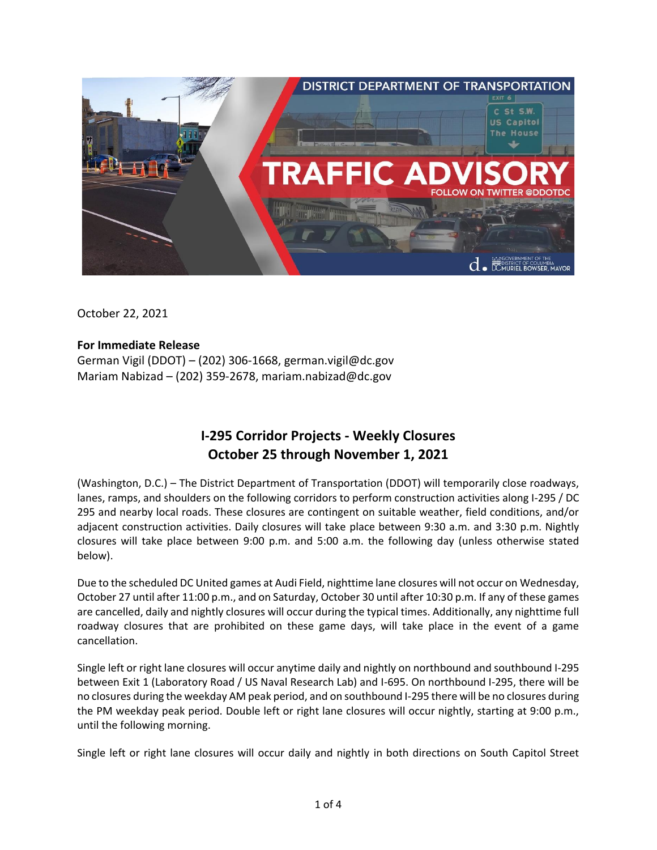

October 22, 2021

## **For Immediate Release**

German Vigil (DDOT) – (202) 306-1668, german.vigil@dc.gov Mariam Nabizad – (202) 359-2678, [mariam.nabizad@dc.gov](mailto:mariam.nabizad@dc.gov)

# **I-295 Corridor Projects - Weekly Closures October 25 through November 1, 2021**

(Washington, D.C.) – The District Department of Transportation (DDOT) will temporarily close roadways, lanes, ramps, and shoulders on the following corridors to perform construction activities along I-295 / DC 295 and nearby local roads. These closures are contingent on suitable weather, field conditions, and/or adjacent construction activities. Daily closures will take place between 9:30 a.m. and 3:30 p.m. Nightly closures will take place between 9:00 p.m. and 5:00 a.m. the following day (unless otherwise stated below).

Due to the scheduled DC United games at Audi Field, nighttime lane closures will not occur on Wednesday, October 27 until after 11:00 p.m., and on Saturday, October 30 until after 10:30 p.m. If any of these games are cancelled, daily and nightly closures will occur during the typical times. Additionally, any nighttime full roadway closures that are prohibited on these game days, will take place in the event of a game cancellation.

Single left or right lane closures will occur anytime daily and nightly on northbound and southbound I-295 between Exit 1 (Laboratory Road / US Naval Research Lab) and I-695. On northbound I-295, there will be no closures during the weekday AM peak period, and on southbound I-295 there will be no closures during the PM weekday peak period. Double left or right lane closures will occur nightly, starting at 9:00 p.m., until the following morning.

Single left or right lane closures will occur daily and nightly in both directions on South Capitol Street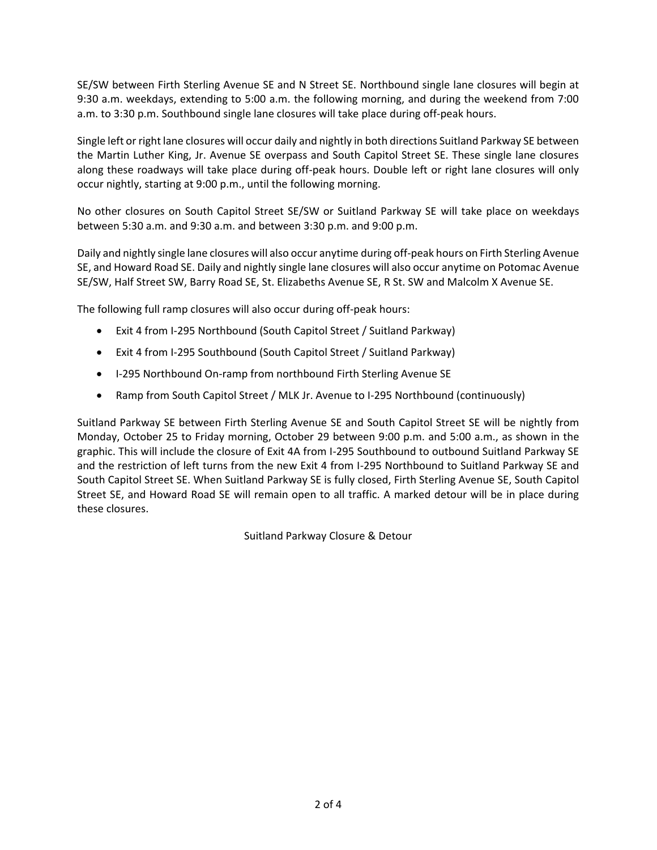SE/SW between Firth Sterling Avenue SE and N Street SE. Northbound single lane closures will begin at 9:30 a.m. weekdays, extending to 5:00 a.m. the following morning, and during the weekend from 7:00 a.m. to 3:30 p.m. Southbound single lane closures will take place during off-peak hours.

Single left or right lane closures will occur daily and nightly in both directions Suitland Parkway SE between the Martin Luther King, Jr. Avenue SE overpass and South Capitol Street SE. These single lane closures along these roadways will take place during off-peak hours. Double left or right lane closures will only occur nightly, starting at 9:00 p.m., until the following morning.

No other closures on South Capitol Street SE/SW or Suitland Parkway SE will take place on weekdays between 5:30 a.m. and 9:30 a.m. and between 3:30 p.m. and 9:00 p.m.

Daily and nightly single lane closures will also occur anytime during off-peak hours on Firth Sterling Avenue SE, and Howard Road SE. Daily and nightly single lane closures will also occur anytime on Potomac Avenue SE/SW, Half Street SW, Barry Road SE, St. Elizabeths Avenue SE, R St. SW and Malcolm X Avenue SE.

The following full ramp closures will also occur during off-peak hours:

- Exit 4 from I-295 Northbound (South Capitol Street / Suitland Parkway)
- Exit 4 from I-295 Southbound (South Capitol Street / Suitland Parkway)
- I-295 Northbound On-ramp from northbound Firth Sterling Avenue SE
- Ramp from South Capitol Street / MLK Jr. Avenue to I-295 Northbound (continuously)

Suitland Parkway SE between Firth Sterling Avenue SE and South Capitol Street SE will be nightly from Monday, October 25 to Friday morning, October 29 between 9:00 p.m. and 5:00 a.m., as shown in the graphic. This will include the closure of Exit 4A from I-295 Southbound to outbound Suitland Parkway SE and the restriction of left turns from the new Exit 4 from I-295 Northbound to Suitland Parkway SE and South Capitol Street SE. When Suitland Parkway SE is fully closed, Firth Sterling Avenue SE, South Capitol Street SE, and Howard Road SE will remain open to all traffic. A marked detour will be in place during these closures.

Suitland Parkway Closure & Detour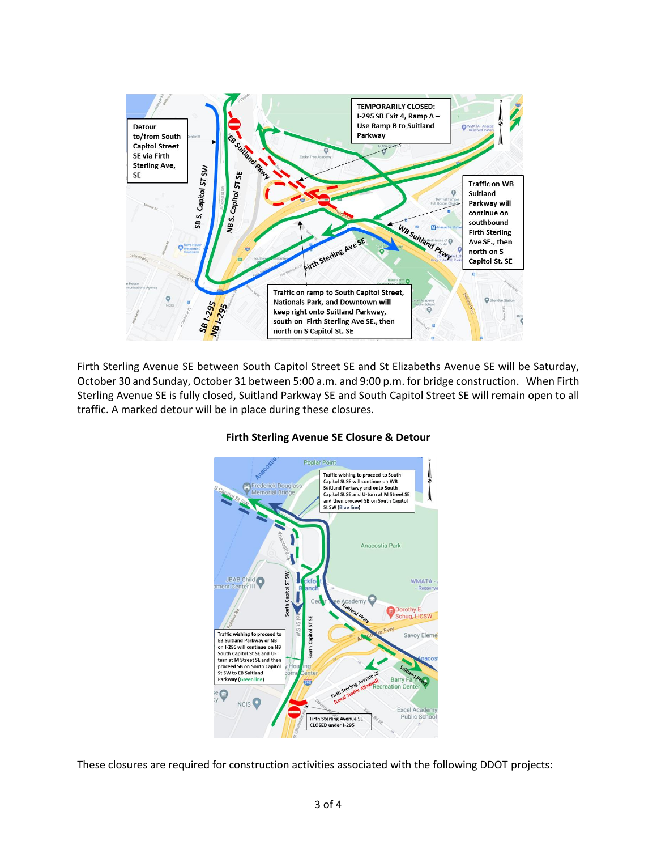

Firth Sterling Avenue SE between South Capitol Street SE and St Elizabeths Avenue SE will be Saturday, October 30 and Sunday, October 31 between 5:00 a.m. and 9:00 p.m. for bridge construction. When Firth Sterling Avenue SE is fully closed, Suitland Parkway SE and South Capitol Street SE will remain open to all traffic. A marked detour will be in place during these closures.



## **Firth Sterling Avenue SE Closure & Detour**

These closures are required for construction activities associated with the following DDOT projects: